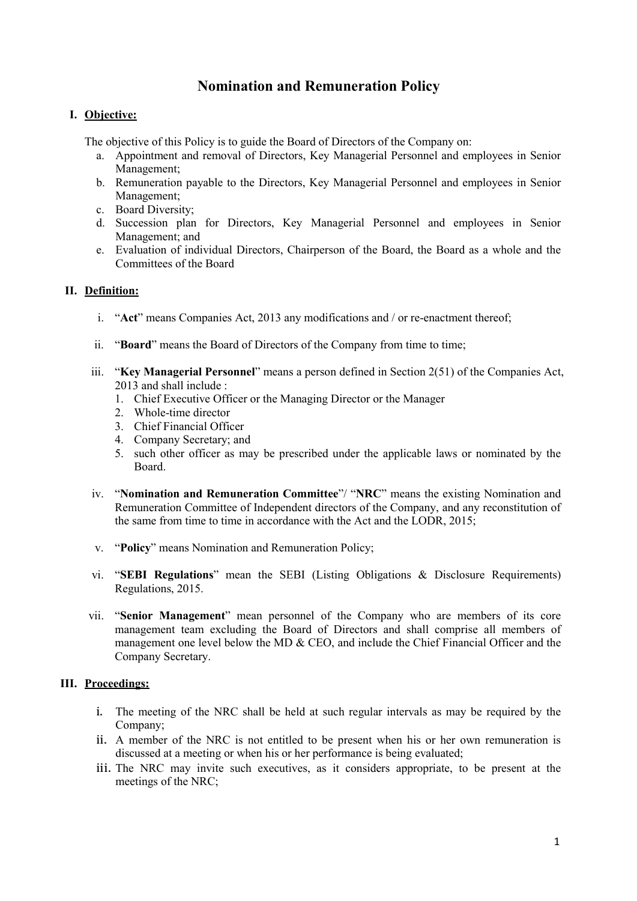# **Nomination and Remuneration Policy**

### **I. Objective:**

The objective of this Policy is to guide the Board of Directors of the Company on:

- a. Appointment and removal of Directors, Key Managerial Personnel and employees in Senior Management;
- b. Remuneration payable to the Directors, Key Managerial Personnel and employees in Senior Management;
- c. Board Diversity;
- d. Succession plan for Directors, Key Managerial Personnel and employees in Senior Management; and
- e. Evaluation of individual Directors, Chairperson of the Board, the Board as a whole and the Committees of the Board

### **II. Definition:**

- i. "Act" means Companies Act, 2013 any modifications and / or re-enactment thereof;
- ii. "**Board**" means the Board of Directors of the Company from time to time;
- iii. "**Key Managerial Personnel**" means a person defined in Section 2(51) of the Companies Act, 2013 and shall include :
	- 1. Chief Executive Officer or the Managing Director or the Manager
	- 2. Whole-time director
	- 3. Chief Financial Officer
	- 4. Company Secretary; and
	- 5. such other officer as may be prescribed under the applicable laws or nominated by the Board.
- iv. "**Nomination and Remuneration Committee**"/ "**NRC**" means the existing Nomination and Remuneration Committee of Independent directors of the Company, and any reconstitution of the same from time to time in accordance with the Act and the LODR, 2015;
- v. "**Policy**" means Nomination and Remuneration Policy;
- vi. "**SEBI Regulations**" mean the SEBI (Listing Obligations & Disclosure Requirements) Regulations, 2015.
- vii. "**Senior Management**" mean personnel of the Company who are members of its core management team excluding the Board of Directors and shall comprise all members of management one level below the MD  $&$  CEO, and include the Chief Financial Officer and the Company Secretary.

## **III. Proceedings:**

- i. The meeting of the NRC shall be held at such regularintervals as may be required by the Company;
- ii. A member of the NRC is not entitled to be present when his or her own remuneration is discussed at a meeting or when his or her performance is being evaluated;
- iii. The NRC may invite such executives, as it considers appropriate, to be present at the meetings of the NRC;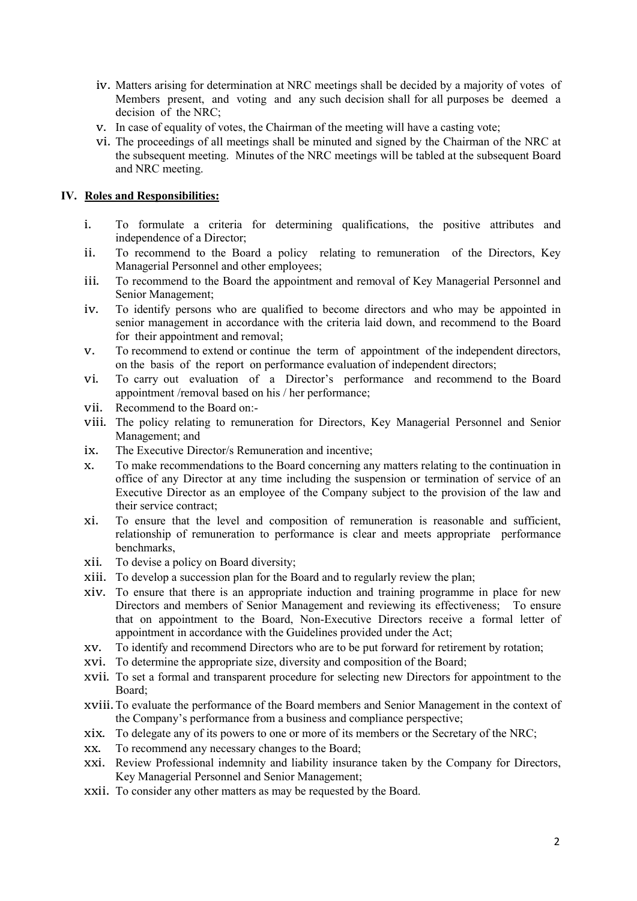- iv. Matters arising for determination at NRC meetings shall be decided by a majority of votes of Members present, and voting and any such decision shall for all purposes be deemed a decision of the NRC;
- v. In case of equality of votes, the Chairman of the meeting will have a casting vote;
- vi. The proceedings of all meetings shall be minuted and signed by the Chairman of the NRC at the subsequent meeting. Minutes of the NRC meetings will be tabled at the subsequent Board and NRC meeting.

#### **IV. Roles and Responsibilities:**

- i. To formulate a criteria for determining qualifications, the positive attributes and independence of a Director;
- ii. To recommend to the Board a policy relating to remuneration of the Directors, Key Managerial Personnel and other employees;
- iii. To recommend to the Board the appointment and removal of Key Managerial Personnel and Senior Management;
- iv. To identify persons who are qualified to become directors and who may be appointed in senior management in accordance with the criteria laid down, and recommend to the Board for their appointment and removal;
- v. To recommend to extend or continue the term of appointment of the independent directors, on the basis of the report on performance evaluation of independent directors;
- vi. To carry out evaluation of a Director's performance and recommend to the Board appointment /removal based on his / her performance;
- vii. Recommend to the Board on:-
- viii. The policy relating to remuneration for Directors, Key Managerial Personnel and Senior Management; and
- ix. The Executive Director/s Remuneration and incentive;<br>x. To make recommendations to the Board concerning an
- To make recommendations to the Board concerning any matters relating to the continuation in office of any Director atany time including the suspension or termination of service of an Executive Director as an employee of the Company subject to the provision of the law and their service contract;
- xi. To ensure that the level and composition of remuneration is reasonable and sufficient, relationship of remuneration to performance is clear and meets appropriate performance benchmarks,
- xii. To devise a policy on Board diversity;
- xiii. To develop a succession plan for the Board and to regularly review the plan;
- xiv. To ensure that there is an appropriate induction and training programme in place for new Directors and members of Senior Management and reviewing its effectiveness; To ensure that on appointment to the Board, Non-Executive Directors receive a formal letter of appointment in accordance with the Guidelines provided under the Act;
- xv. To identify and recommend Directors who are to be put forward for retirement by rotation;
- xvi. To determine the appropriate size, diversity and composition of the Board;
- xvii. To set a formal and transparent procedure for selecting new Directors for appointment to the Board;
- xviii.To evaluate the performance of the Board members and Senior Management in the contextof the Company's performance from a business and compliance perspective;
- xix. To delegate any of its powers to one or more of its members or the Secretary of the NRC;<br>xx. To recommend any necessary changes to the Board:
- To recommend any necessary changes to the Board;
- xxi. Review Professional indemnity and liability insurance taken by the Company for Directors, Key Managerial Personnel and Senior Management;
- xxii. To consider any other matters as may be requested by the Board.